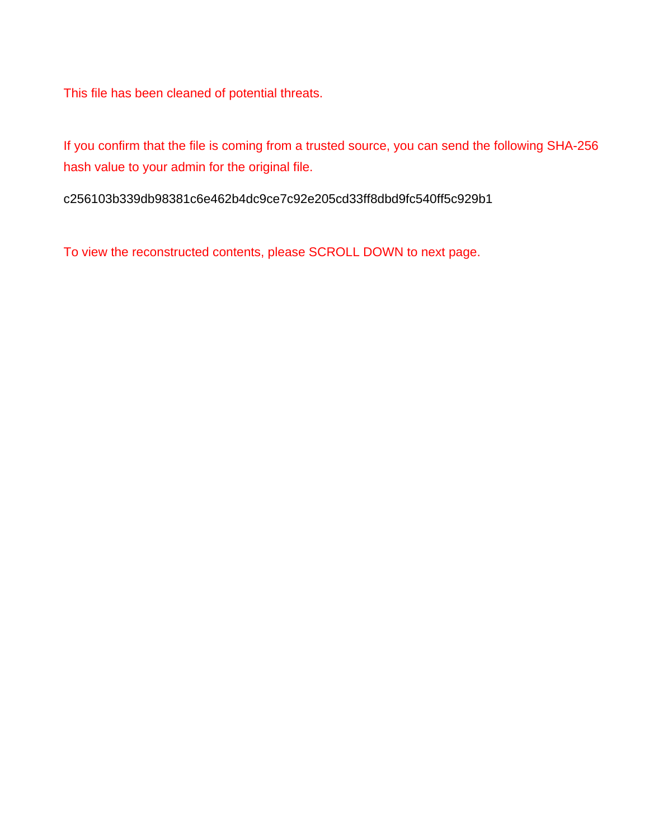This file has been cleaned of potential threats.

If you confirm that the file is coming from a trusted source, you can send the following SHA-256 hash value to your admin for the original file.

c256103b339db98381c6e462b4dc9ce7c92e205cd33ff8dbd9fc540ff5c929b1

To view the reconstructed contents, please SCROLL DOWN to next page.